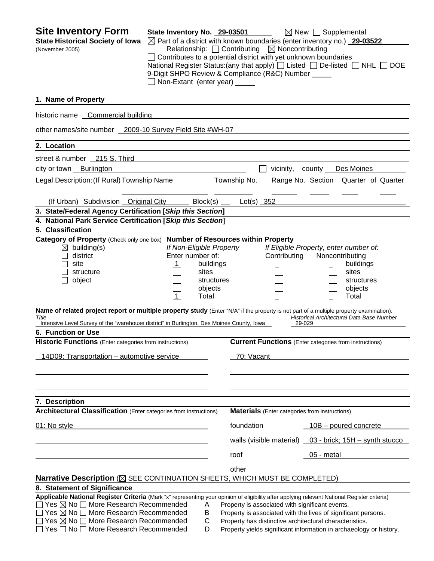| <b>Site Inventory Form</b><br><b>State Historical Society of Iowa</b><br>(November 2005)                                                                                                                                                                                                                                                                                                                                                           | State Inventory No. 29-03501<br>9-Digit SHPO Review & Compliance (R&C) Number _____<br>Non-Extant (enter year) _____ |                                                      | Relationship: $\Box$ Contributing $\boxtimes$ Noncontributing |                        | $\boxtimes$ New $\Box$ Supplemental<br>$\boxtimes$ Part of a district with known boundaries (enter inventory no.) 29-03522<br>Contributes to a potential district with yet unknown boundaries<br>National Register Status: (any that apply) $\Box$ Listed $\Box$ De-listed $\Box$ NHL $\Box$ DOE |  |
|----------------------------------------------------------------------------------------------------------------------------------------------------------------------------------------------------------------------------------------------------------------------------------------------------------------------------------------------------------------------------------------------------------------------------------------------------|----------------------------------------------------------------------------------------------------------------------|------------------------------------------------------|---------------------------------------------------------------|------------------------|--------------------------------------------------------------------------------------------------------------------------------------------------------------------------------------------------------------------------------------------------------------------------------------------------|--|
| 1. Name of Property                                                                                                                                                                                                                                                                                                                                                                                                                                |                                                                                                                      |                                                      |                                                               |                        |                                                                                                                                                                                                                                                                                                  |  |
| historic name Commercial building                                                                                                                                                                                                                                                                                                                                                                                                                  |                                                                                                                      |                                                      |                                                               |                        |                                                                                                                                                                                                                                                                                                  |  |
| other names/site number 2009-10 Survey Field Site #WH-07                                                                                                                                                                                                                                                                                                                                                                                           |                                                                                                                      |                                                      |                                                               |                        |                                                                                                                                                                                                                                                                                                  |  |
| 2. Location                                                                                                                                                                                                                                                                                                                                                                                                                                        |                                                                                                                      |                                                      |                                                               |                        |                                                                                                                                                                                                                                                                                                  |  |
| street & number 215 S. Third                                                                                                                                                                                                                                                                                                                                                                                                                       |                                                                                                                      |                                                      |                                                               |                        |                                                                                                                                                                                                                                                                                                  |  |
| city or town Burlington                                                                                                                                                                                                                                                                                                                                                                                                                            |                                                                                                                      |                                                      |                                                               | vicinity,              | Des Moines                                                                                                                                                                                                                                                                                       |  |
| Legal Description: (If Rural) Township Name                                                                                                                                                                                                                                                                                                                                                                                                        |                                                                                                                      |                                                      | Township No.                                                  |                        | Range No. Section Quarter of Quarter                                                                                                                                                                                                                                                             |  |
| (If Urban) Subdivision Original City                                                                                                                                                                                                                                                                                                                                                                                                               |                                                                                                                      | Block(s)                                             | $Lot(s)$ 352                                                  |                        |                                                                                                                                                                                                                                                                                                  |  |
| 3. State/Federal Agency Certification [Skip this Section]                                                                                                                                                                                                                                                                                                                                                                                          |                                                                                                                      |                                                      |                                                               |                        |                                                                                                                                                                                                                                                                                                  |  |
| 4. National Park Service Certification [Skip this Section]                                                                                                                                                                                                                                                                                                                                                                                         |                                                                                                                      |                                                      |                                                               |                        |                                                                                                                                                                                                                                                                                                  |  |
| 5. Classification<br>Category of Property (Check only one box)                                                                                                                                                                                                                                                                                                                                                                                     |                                                                                                                      |                                                      | <b>Number of Resources within Property</b>                    |                        |                                                                                                                                                                                                                                                                                                  |  |
| $\boxtimes$ building(s)<br>district<br>site<br>structure<br>object<br>Name of related project report or multiple property study (Enter "N/A" if the property is not part of a multiple property examination).<br>Title<br>Intensive Level Survey of the "warehouse district" in Burlington, Des Moines County, Iowa<br>6. Function or Use<br>Historic Functions (Enter categories from instructions)<br>14D09: Transportation - automotive service | If Non-Eligible Property<br>Enter number of:<br>$\mathbf{1}$<br>$\overline{1}$                                       | buildings<br>sites<br>structures<br>objects<br>Total | 70: Vacant                                                    | Contributing<br>29-029 | If Eligible Property, enter number of:<br>Noncontributing<br>buildings<br>sites<br>structures<br>objects<br>Total<br>Historical Architectural Data Base Number<br><b>Current Functions</b> (Enter categories from instructions)                                                                  |  |
| 7. Description<br><b>Architectural Classification</b> (Enter categories from instructions)                                                                                                                                                                                                                                                                                                                                                         |                                                                                                                      |                                                      |                                                               |                        | <b>Materials</b> (Enter categories from instructions)                                                                                                                                                                                                                                            |  |
| 01: No style                                                                                                                                                                                                                                                                                                                                                                                                                                       |                                                                                                                      |                                                      | foundation                                                    |                        | 10B – poured concrete                                                                                                                                                                                                                                                                            |  |
|                                                                                                                                                                                                                                                                                                                                                                                                                                                    |                                                                                                                      |                                                      | walls (visible material)                                      |                        | 03 - brick; 15H - synth stucco                                                                                                                                                                                                                                                                   |  |
|                                                                                                                                                                                                                                                                                                                                                                                                                                                    |                                                                                                                      |                                                      | roof                                                          |                        | 05 - metal                                                                                                                                                                                                                                                                                       |  |
|                                                                                                                                                                                                                                                                                                                                                                                                                                                    |                                                                                                                      |                                                      |                                                               |                        |                                                                                                                                                                                                                                                                                                  |  |
| Narrative Description (X) SEE CONTINUATION SHEETS, WHICH MUST BE COMPLETED)                                                                                                                                                                                                                                                                                                                                                                        |                                                                                                                      |                                                      | other                                                         |                        |                                                                                                                                                                                                                                                                                                  |  |
| 8. Statement of Significance                                                                                                                                                                                                                                                                                                                                                                                                                       |                                                                                                                      |                                                      |                                                               |                        |                                                                                                                                                                                                                                                                                                  |  |
| Applicable National Register Criteria (Mark "x" representing your opinion of eligibility after applying relevant National Register criteria)<br>□ Yes ⊠ No □ More Research Recommended<br>$\Box$ Yes $\boxtimes$ No $\Box$ More Research Recommended<br>$\Box$ Yes $\boxtimes$ No $\Box$ More Research Recommended<br>$\Box$ Yes $\Box$ No $\Box$ More Research Recommended                                                                        |                                                                                                                      | A<br>B<br>С<br>D                                     |                                                               |                        | Property is associated with significant events.<br>Property is associated with the lives of significant persons.<br>Property has distinctive architectural characteristics.<br>Property yields significant information in archaeology or history.                                                |  |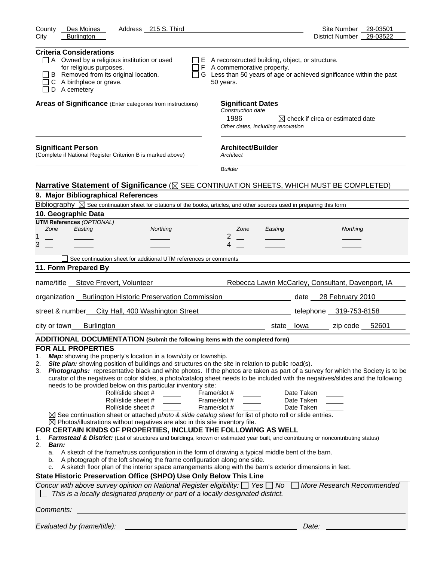| County<br>Des Moines<br>Address 215 S. Third                                                                                                                                                                                                                                                                                                                                                                                                                                                                                                                                                                                                                                                                                                                                                                                                                                                                                                                                                                                                                                                                                                                                                                 | Site Number 29-03501                              |
|--------------------------------------------------------------------------------------------------------------------------------------------------------------------------------------------------------------------------------------------------------------------------------------------------------------------------------------------------------------------------------------------------------------------------------------------------------------------------------------------------------------------------------------------------------------------------------------------------------------------------------------------------------------------------------------------------------------------------------------------------------------------------------------------------------------------------------------------------------------------------------------------------------------------------------------------------------------------------------------------------------------------------------------------------------------------------------------------------------------------------------------------------------------------------------------------------------------|---------------------------------------------------|
| <b>Burlington</b><br>City                                                                                                                                                                                                                                                                                                                                                                                                                                                                                                                                                                                                                                                                                                                                                                                                                                                                                                                                                                                                                                                                                                                                                                                    | District Number 29-03522                          |
| <b>Criteria Considerations</b><br>$\Box$ A Owned by a religious institution or used<br>$\Box$ E A reconstructed building, object, or structure.<br>for religious purposes.<br>$\Box$ F A commemorative property.<br>B Removed from its original location.<br>$\Box$ G Less than 50 years of age or achieved significance within the past<br>C A birthplace or grave.<br>50 years.<br>$\Box$ D A cemetery                                                                                                                                                                                                                                                                                                                                                                                                                                                                                                                                                                                                                                                                                                                                                                                                     |                                                   |
| Areas of Significance (Enter categories from instructions)<br><b>Significant Dates</b>                                                                                                                                                                                                                                                                                                                                                                                                                                                                                                                                                                                                                                                                                                                                                                                                                                                                                                                                                                                                                                                                                                                       |                                                   |
| Construction date<br>1986<br>Other dates, including renovation                                                                                                                                                                                                                                                                                                                                                                                                                                                                                                                                                                                                                                                                                                                                                                                                                                                                                                                                                                                                                                                                                                                                               | $\boxtimes$ check if circa or estimated date      |
| <b>Architect/Builder</b><br><b>Significant Person</b><br>(Complete if National Register Criterion B is marked above)<br>Architect                                                                                                                                                                                                                                                                                                                                                                                                                                                                                                                                                                                                                                                                                                                                                                                                                                                                                                                                                                                                                                                                            |                                                   |
| <b>Builder</b>                                                                                                                                                                                                                                                                                                                                                                                                                                                                                                                                                                                                                                                                                                                                                                                                                                                                                                                                                                                                                                                                                                                                                                                               |                                                   |
| Narrative Statement of Significance ( $\boxtimes$ SEE CONTINUATION SHEETS, WHICH MUST BE COMPLETED)                                                                                                                                                                                                                                                                                                                                                                                                                                                                                                                                                                                                                                                                                                                                                                                                                                                                                                                                                                                                                                                                                                          |                                                   |
| 9. Major Bibliographical References                                                                                                                                                                                                                                                                                                                                                                                                                                                                                                                                                                                                                                                                                                                                                                                                                                                                                                                                                                                                                                                                                                                                                                          |                                                   |
| Bibliography $\boxtimes$ See continuation sheet for citations of the books, articles, and other sources used in preparing this form                                                                                                                                                                                                                                                                                                                                                                                                                                                                                                                                                                                                                                                                                                                                                                                                                                                                                                                                                                                                                                                                          |                                                   |
| 10. Geographic Data<br><b>UTM References (OPTIONAL)</b>                                                                                                                                                                                                                                                                                                                                                                                                                                                                                                                                                                                                                                                                                                                                                                                                                                                                                                                                                                                                                                                                                                                                                      |                                                   |
| Easting<br>Zone<br>Northing<br>Zone<br>Easting                                                                                                                                                                                                                                                                                                                                                                                                                                                                                                                                                                                                                                                                                                                                                                                                                                                                                                                                                                                                                                                                                                                                                               | Northing                                          |
| 2<br>1                                                                                                                                                                                                                                                                                                                                                                                                                                                                                                                                                                                                                                                                                                                                                                                                                                                                                                                                                                                                                                                                                                                                                                                                       |                                                   |
| 3<br>4                                                                                                                                                                                                                                                                                                                                                                                                                                                                                                                                                                                                                                                                                                                                                                                                                                                                                                                                                                                                                                                                                                                                                                                                       |                                                   |
| See continuation sheet for additional UTM references or comments                                                                                                                                                                                                                                                                                                                                                                                                                                                                                                                                                                                                                                                                                                                                                                                                                                                                                                                                                                                                                                                                                                                                             |                                                   |
| 11. Form Prepared By                                                                                                                                                                                                                                                                                                                                                                                                                                                                                                                                                                                                                                                                                                                                                                                                                                                                                                                                                                                                                                                                                                                                                                                         |                                                   |
| name/title __ Steve Frevert, Volunteer                                                                                                                                                                                                                                                                                                                                                                                                                                                                                                                                                                                                                                                                                                                                                                                                                                                                                                                                                                                                                                                                                                                                                                       | Rebecca Lawin McCarley, Consultant, Davenport, IA |
| organization _ Burlington Historic Preservation Commission                                                                                                                                                                                                                                                                                                                                                                                                                                                                                                                                                                                                                                                                                                                                                                                                                                                                                                                                                                                                                                                                                                                                                   | date 28 February 2010                             |
| street & number_ City Hall, 400 Washington Street                                                                                                                                                                                                                                                                                                                                                                                                                                                                                                                                                                                                                                                                                                                                                                                                                                                                                                                                                                                                                                                                                                                                                            | telephone 319-753-8158                            |
| <b>Burlington</b><br>city or town<br>state lowa                                                                                                                                                                                                                                                                                                                                                                                                                                                                                                                                                                                                                                                                                                                                                                                                                                                                                                                                                                                                                                                                                                                                                              | zip code 52601                                    |
| ADDITIONAL DOCUMENTATION (Submit the following items with the completed form)                                                                                                                                                                                                                                                                                                                                                                                                                                                                                                                                                                                                                                                                                                                                                                                                                                                                                                                                                                                                                                                                                                                                |                                                   |
| <b>FOR ALL PROPERTIES</b>                                                                                                                                                                                                                                                                                                                                                                                                                                                                                                                                                                                                                                                                                                                                                                                                                                                                                                                                                                                                                                                                                                                                                                                    |                                                   |
| Map: showing the property's location in a town/city or township.<br>1.<br>Site plan: showing position of buildings and structures on the site in relation to public road(s).<br>2.<br>Photographs: representative black and white photos. If the photos are taken as part of a survey for which the Society is to be<br>3.<br>curator of the negatives or color slides, a photo/catalog sheet needs to be included with the negatives/slides and the following<br>needs to be provided below on this particular inventory site:<br>Roll/slide sheet #<br>Frame/slot #<br>Roll/slide sheet #<br>Frame/slot #<br>Frame/slot #<br>Roll/slide sheet #<br>$\boxtimes$ See continuation sheet or attached photo & slide catalog sheet for list of photo roll or slide entries.<br>$\boxtimes$ Photos/illustrations without negatives are also in this site inventory file.<br>FOR CERTAIN KINDS OF PROPERTIES, INCLUDE THE FOLLOWING AS WELL<br>Farmstead & District: (List of structures and buildings, known or estimated year built, and contributing or noncontributing status)<br>1.<br>2.<br>Barn:<br>a. A sketch of the frame/truss configuration in the form of drawing a typical middle bent of the barn. | Date Taken<br>Date Taken<br>Date Taken            |
| b. A photograph of the loft showing the frame configuration along one side.<br>A sketch floor plan of the interior space arrangements along with the barn's exterior dimensions in feet.                                                                                                                                                                                                                                                                                                                                                                                                                                                                                                                                                                                                                                                                                                                                                                                                                                                                                                                                                                                                                     |                                                   |
| State Historic Preservation Office (SHPO) Use Only Below This Line                                                                                                                                                                                                                                                                                                                                                                                                                                                                                                                                                                                                                                                                                                                                                                                                                                                                                                                                                                                                                                                                                                                                           |                                                   |
| Concur with above survey opinion on National Register eligibility: $\Box$ Yes $\Box$ No $\Box$ More Research Recommended<br>This is a locally designated property or part of a locally designated district.                                                                                                                                                                                                                                                                                                                                                                                                                                                                                                                                                                                                                                                                                                                                                                                                                                                                                                                                                                                                  |                                                   |
| Comments:                                                                                                                                                                                                                                                                                                                                                                                                                                                                                                                                                                                                                                                                                                                                                                                                                                                                                                                                                                                                                                                                                                                                                                                                    |                                                   |
| Evaluated by (name/title):                                                                                                                                                                                                                                                                                                                                                                                                                                                                                                                                                                                                                                                                                                                                                                                                                                                                                                                                                                                                                                                                                                                                                                                   | Date:                                             |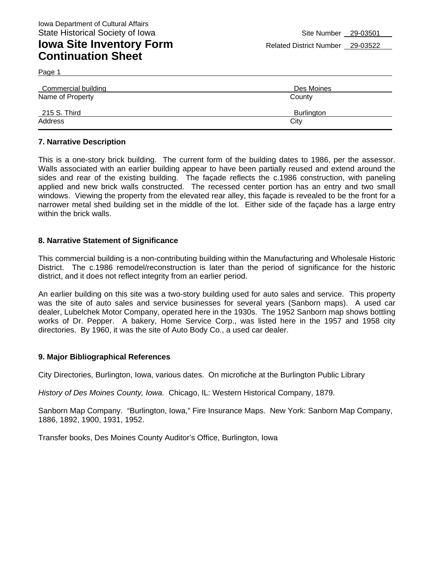## **Iowa Site Inventory Form** Related District Number 29-03522 **Continuation Sheet**

Page 1

| Commercial building | Des Moines        |  |  |  |
|---------------------|-------------------|--|--|--|
| Name of Property    | County            |  |  |  |
| 215 S. Third        | <b>Burlington</b> |  |  |  |
| Address             | City              |  |  |  |

### **7. Narrative Description**

This is a one-story brick building. The current form of the building dates to 1986, per the assessor. Walls associated with an earlier building appear to have been partially reused and extend around the sides and rear of the existing building. The façade reflects the c.1986 construction, with paneling applied and new brick walls constructed. The recessed center portion has an entry and two small windows. Viewing the property from the elevated rear alley, this facade is revealed to be the front for a narrower metal shed building set in the middle of the lot. Either side of the façade has a large entry within the brick walls.

#### **8. Narrative Statement of Significance**

This commercial building is a non-contributing building within the Manufacturing and Wholesale Historic District. The c.1986 remodel/reconstruction is later than the period of significance for the historic district, and it does not reflect integrity from an earlier period.

An earlier building on this site was a two-story building used for auto sales and service. This property was the site of auto sales and service businesses for several years (Sanborn maps). A used car dealer, Lubelchek Motor Company, operated here in the 1930s. The 1952 Sanborn map shows bottling works of Dr. Pepper. A bakery, Home Service Corp., was listed here in the 1957 and 1958 city directories. By 1960, it was the site of Auto Body Co., a used car dealer.

#### **9. Major Bibliographical References**

City Directories, Burlington, Iowa, various dates. On microfiche at the Burlington Public Library

*History of Des Moines County, Iowa.* Chicago, IL: Western Historical Company, 1879.

Sanborn Map Company. "Burlington, Iowa," Fire Insurance Maps. New York: Sanborn Map Company, 1886, 1892, 1900, 1931, 1952.

Transfer books, Des Moines County Auditor's Office, Burlington, Iowa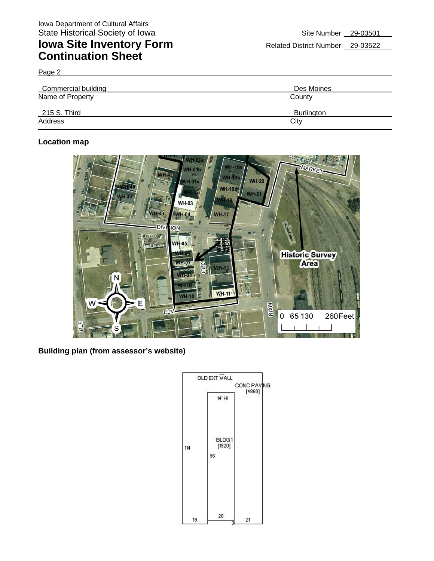## **Iowa Site Inventory Form** Related District Number 29-03522 **Continuation Sheet**

Page 2

| Commercial building | Des Moines |  |  |  |
|---------------------|------------|--|--|--|
| Name of Property    | County     |  |  |  |
| 215 S. Third        | Burlington |  |  |  |
| Address             | City       |  |  |  |

### **Location map**



**Building plan (from assessor's website)** 

|     |                 |    | <b>OLD EXT WALL</b> | CONC PAVING |        |  |
|-----|-----------------|----|---------------------|-------------|--------|--|
|     |                 |    | 14' HI              |             | [4860] |  |
| 114 |                 | 96 | BLDG1<br>[1920]     |             |        |  |
|     | 19 <sup>°</sup> |    | 20 <sup>°</sup>     | 21<br>3     |        |  |